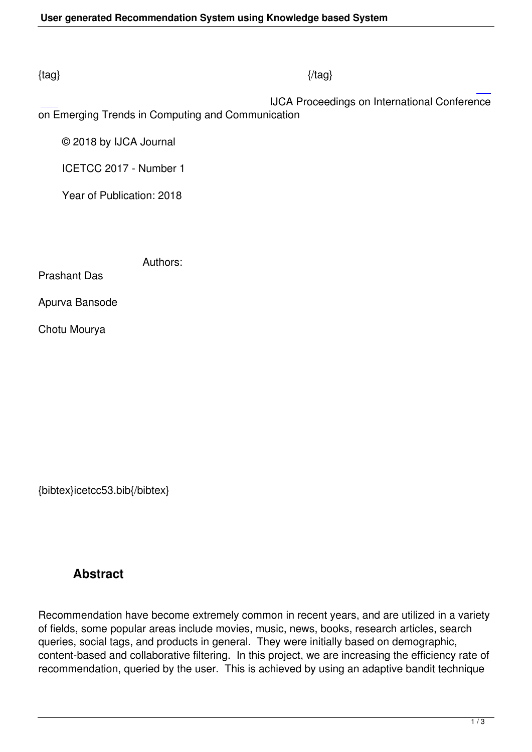### $\{tag\}$

IJCA Proceedings on International Conference

on Emerging Trends in Computing and Communication

© 2018 by IJCA Journal

ICETCC 2017 - Number 1

Year of Publication: 2018

Authors:

Prashant Das

Apurva Bansode

Chotu Mourya

{bibtex}icetcc53.bib{/bibtex}

# **Abstract**

Recommendation have become extremely common in recent years, and are utilized in a variety of fields, some popular areas include movies, music, news, books, research articles, search queries, social tags, and products in general. They were initially based on demographic, content-based and collaborative filtering. In this project, we are increasing the efficiency rate of recommendation, queried by the user. This is achieved by using an adaptive bandit technique